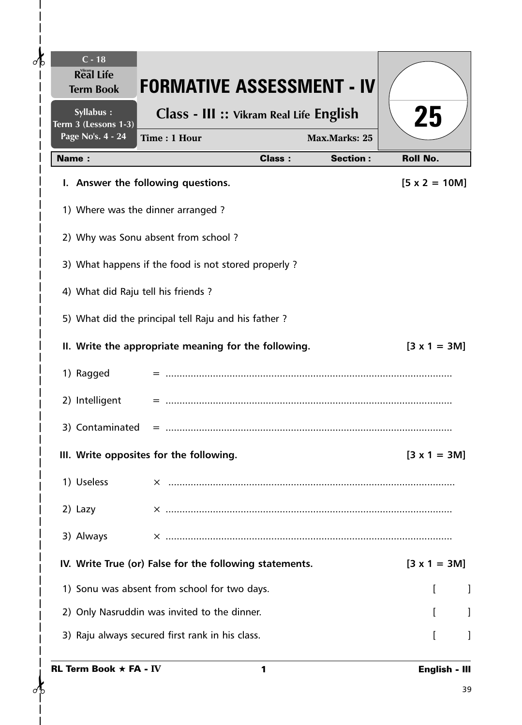| $C - 18$<br><b>Real Life</b><br><b>Term Book</b> | <b>FORMATIVE ASSESSMENT - IV</b>                        |                 |                      |
|--------------------------------------------------|---------------------------------------------------------|-----------------|----------------------|
| Syllabus :<br>Term 3 (Lessons 1-3)               | Class - III :: Vikram Real Life English                 |                 | 25                   |
| Page No's. 4 - 24                                | Time: 1 Hour                                            | Max.Marks: 25   |                      |
| <b>Name:</b>                                     | <b>Class:</b>                                           | <b>Section:</b> | <b>Roll No.</b>      |
| I. Answer the following questions.               |                                                         |                 | $[5 \times 2 = 10M]$ |
| 1) Where was the dinner arranged?                |                                                         |                 |                      |
| 2) Why was Sonu absent from school?              |                                                         |                 |                      |
|                                                  | 3) What happens if the food is not stored properly?     |                 |                      |
| 4) What did Raju tell his friends?               |                                                         |                 |                      |
|                                                  | 5) What did the principal tell Raju and his father?     |                 |                      |
|                                                  | II. Write the appropriate meaning for the following.    |                 | $[3 \times 1 = 3M]$  |
| 1) Ragged                                        |                                                         |                 |                      |
| 2) Intelligent                                   |                                                         |                 |                      |
| 3) Contaminated                                  |                                                         |                 |                      |
| III. Write opposites for the following.          |                                                         |                 | $[3 \times 1 = 3M]$  |
| 1) Useless                                       |                                                         |                 |                      |
| 2) Lazy                                          |                                                         |                 |                      |
| 3) Always                                        |                                                         |                 |                      |
|                                                  | IV. Write True (or) False for the following statements. |                 | $[3 \times 1 = 3M]$  |
| 1) Sonu was absent from school for two days.     |                                                         |                 |                      |
| 2) Only Nasruddin was invited to the dinner.     |                                                         |                 |                      |
| 3) Raju always secured first rank in his class.  |                                                         |                 |                      |
| <b>RL Term Book <math>\star</math> FA - IV</b>   | 1                                                       |                 | English - III        |
|                                                  |                                                         |                 | 39                   |

 $\frac{1}{2}$ 

 $\overline{1}$ 

 $\mathbf{I}$  $\overline{\phantom{a}}$  $\overline{\phantom{a}}$  $\mathsf{l}$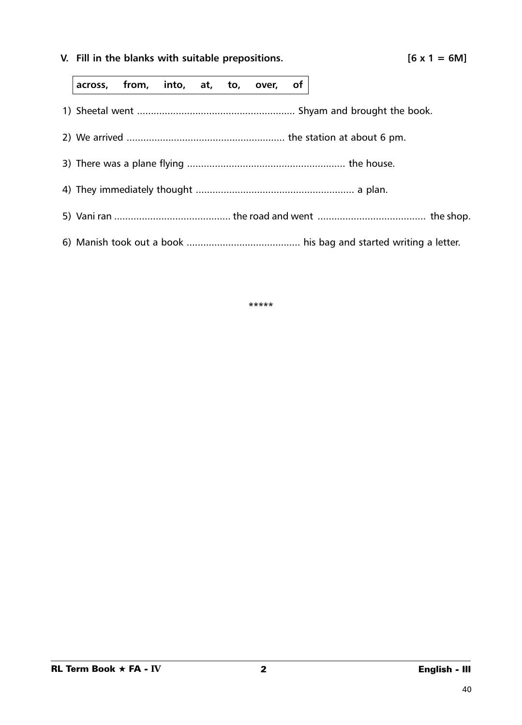**V.** Fill in the blanks with suitable prepositions.  $[6 \times 1 = 6M]$ 

**across, from, into, at, to, over, of**

- 1) Sheetal went ......................................................... Shyam and brought the book.
- 2) We arrived ......................................................... the station at about 6 pm.
- 3) There was a plane flying ......................................................... the house.
- 4) They immediately thought ......................................................... a plan.
- 5) Vani ran .......................................... the road and went ....................................... the shop.
- 6) Manish took out a book ......................................... his bag and started writing a letter.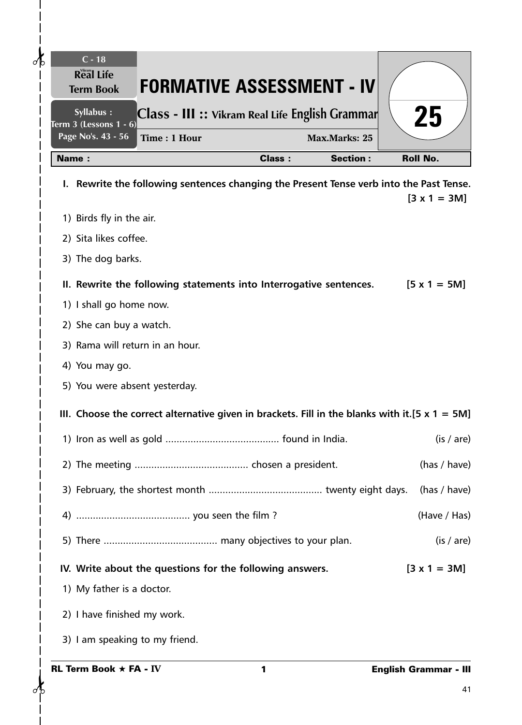| $C - 18$<br><b>Real Life</b><br><b>FORMATIVE ASSESSMENT - IV</b><br><b>Term Book</b>             |               |                      |                              |
|--------------------------------------------------------------------------------------------------|---------------|----------------------|------------------------------|
| Syllabus :<br>Class - III :: Vikram Real Life English Grammar<br>Term 3 (Lessons 1 - 6)          |               |                      | 25                           |
| Page No's. 43 - 56<br>Time: 1 Hour                                                               |               | <b>Max.Marks: 25</b> |                              |
| Name:                                                                                            | <b>Class:</b> | <b>Section:</b>      | <b>Roll No.</b>              |
| I. Rewrite the following sentences changing the Present Tense verb into the Past Tense.          |               |                      | $[3 \times 1 = 3M]$          |
| 1) Birds fly in the air.                                                                         |               |                      |                              |
| 2) Sita likes coffee.                                                                            |               |                      |                              |
| 3) The dog barks.                                                                                |               |                      |                              |
| II. Rewrite the following statements into Interrogative sentences.                               |               |                      | $[5 \times 1 = 5M]$          |
| 1) I shall go home now.                                                                          |               |                      |                              |
| 2) She can buy a watch.                                                                          |               |                      |                              |
| 3) Rama will return in an hour.                                                                  |               |                      |                              |
| 4) You may go.                                                                                   |               |                      |                              |
| 5) You were absent yesterday.                                                                    |               |                      |                              |
| III. Choose the correct alternative given in brackets. Fill in the blanks with it.[5 $x$ 1 = 5M] |               |                      |                              |
|                                                                                                  |               |                      | (is / are)                   |
|                                                                                                  |               |                      | (has / have)                 |
|                                                                                                  |               |                      | (has / have)                 |
|                                                                                                  |               |                      | (Have / Has)                 |
|                                                                                                  |               |                      | (is / are)                   |
| IV. Write about the questions for the following answers.                                         |               |                      | $[3 \times 1 = 3M]$          |
| 1) My father is a doctor.                                                                        |               |                      |                              |
| 2) I have finished my work.                                                                      |               |                      |                              |
| 3) I am speaking to my friend.                                                                   |               |                      |                              |
| <b>RL Term Book <math>\star</math> FA - IV</b>                                                   | 1             |                      | <b>English Grammar - III</b> |
|                                                                                                  |               |                      | 41                           |

 $\frac{1}{\sqrt{2}}$ 

 $\frac{1}{1}$ 

 $\mathbf{I}$  $\overline{\phantom{a}}$  $\overline{\phantom{a}}$  $\overline{1}$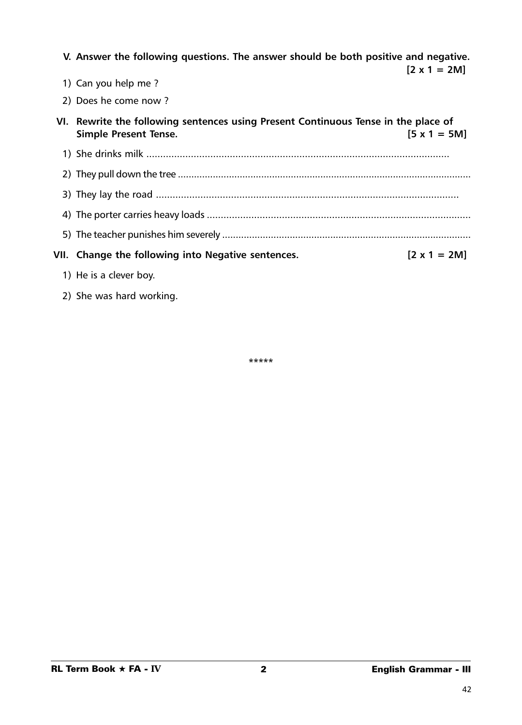| V. Answer the following questions. The answer should be both positive and negative.                                | $[2 \times 1 = 2M]$ |
|--------------------------------------------------------------------------------------------------------------------|---------------------|
| 1) Can you help me?                                                                                                |                     |
| 2) Does he come now ?                                                                                              |                     |
| VI. Rewrite the following sentences using Present Continuous Tense in the place of<br><b>Simple Present Tense.</b> | $[5 \times 1 = 5M]$ |
|                                                                                                                    |                     |
|                                                                                                                    |                     |
|                                                                                                                    |                     |
|                                                                                                                    |                     |
|                                                                                                                    |                     |
| VII. Change the following into Negative sentences.                                                                 | $[2 \times 1 = 2M]$ |
| 1) He is a clever boy.                                                                                             |                     |

2) She was hard working.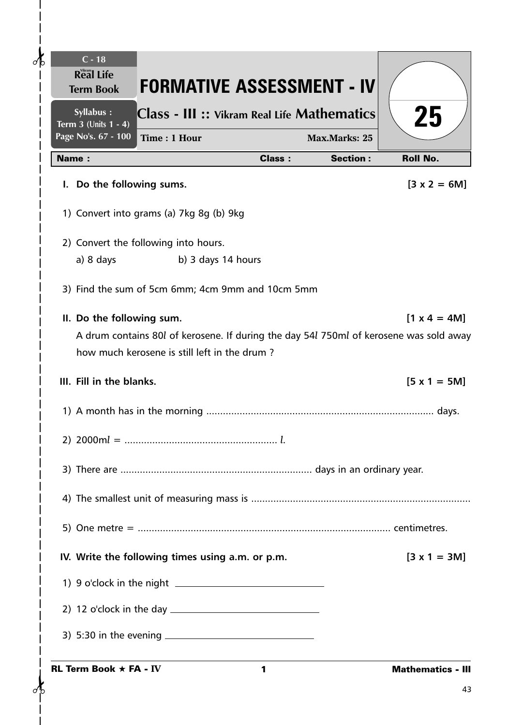| $\partial$ b | $C - 18$<br><b>Real Life</b><br><b>FORMATIVE ASSESSMENT - IV</b><br><b>Term Book</b>   |               |                      |                          |
|--------------|----------------------------------------------------------------------------------------|---------------|----------------------|--------------------------|
|              | Syllabus :<br>Class - III :: Vikram Real Life Mathematics                              |               |                      | 25                       |
|              | Term $3$ (Units $1 - 4$ )<br>Page No's. 67 - 100<br>Time: 1 Hour                       |               | <b>Max.Marks: 25</b> |                          |
|              | <b>Name:</b>                                                                           | <b>Class:</b> | <b>Section:</b>      | <b>Roll No.</b>          |
|              | I. Do the following sums.                                                              |               |                      | $[3 \times 2 = 6M]$      |
|              | 1) Convert into grams (a) 7kg 8g (b) 9kg                                               |               |                      |                          |
|              | 2) Convert the following into hours.                                                   |               |                      |                          |
|              | a) 8 days<br>b) 3 days 14 hours                                                        |               |                      |                          |
|              | 3) Find the sum of 5cm 6mm; 4cm 9mm and 10cm 5mm                                       |               |                      |                          |
|              | II. Do the following sum.                                                              |               |                      | $[1 \times 4 = 4M]$      |
|              | A drum contains 80l of kerosene. If during the day 54l 750ml of kerosene was sold away |               |                      |                          |
|              | how much kerosene is still left in the drum?                                           |               |                      |                          |
|              | III. Fill in the blanks.                                                               |               |                      | $[5 x 1 = 5M]$           |
|              |                                                                                        |               |                      |                          |
|              |                                                                                        |               |                      |                          |
|              |                                                                                        |               |                      |                          |
|              |                                                                                        |               |                      |                          |
|              |                                                                                        |               |                      |                          |
|              | IV. Write the following times using a.m. or p.m.                                       |               |                      | $[3 \times 1 = 3M]$      |
|              |                                                                                        |               |                      |                          |
|              |                                                                                        |               |                      |                          |
|              |                                                                                        |               |                      |                          |
|              | <b>RL Term Book <math>\star</math> FA - IV</b>                                         | $\mathbf{1}$  |                      | <b>Mathematics - III</b> |
|              |                                                                                        |               |                      | 43                       |

 $\mathbf l$  $\mathbf{I}$  $\overline{\phantom{a}}$  $\overline{1}$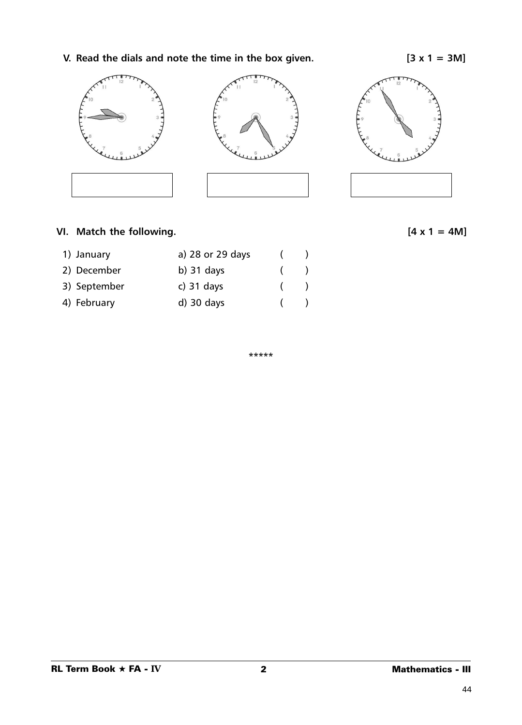**V.** Read the dials and note the time in the box given.  $[3 \times 1 = 3M]$ 



## VI. Match the following.  $[4 \times 1 = 4M]$

| 1) January   | a) 28 or 29 days |               |
|--------------|------------------|---------------|
| 2) December  | b) $31$ days     | $\rightarrow$ |
| 3) September | c) $31$ days     | $\rightarrow$ |
| 4) February  | $d)$ 30 days     |               |

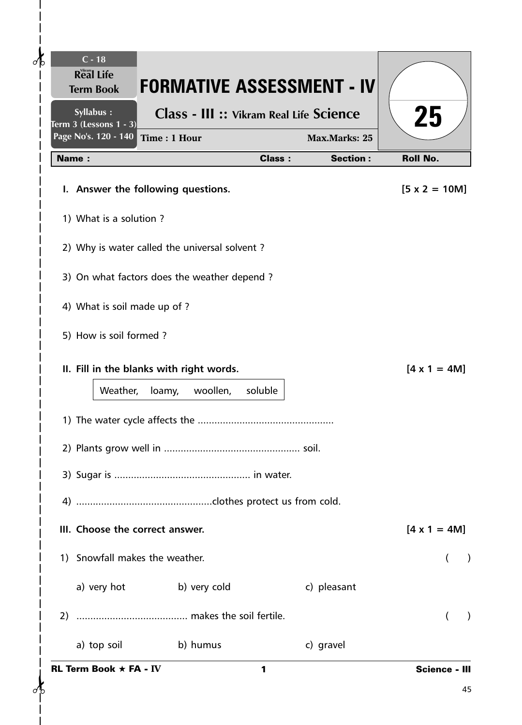| $C - 18$<br><b>Real Life</b><br><b>Term Book</b>                                    |                                                | <b>FORMATIVE ASSESSMENT - IV</b> |                      |
|-------------------------------------------------------------------------------------|------------------------------------------------|----------------------------------|----------------------|
| Syllabus :<br><b>Term 3 (Lessons 1 - 3)</b><br>Page No's. 120 - 140<br>Time: 1 Hour | <b>Class - III :: Vikram Real Life Science</b> | Max.Marks: 25                    | 25                   |
| <b>Name:</b>                                                                        | <b>Class:</b>                                  | <b>Section:</b>                  | <b>Roll No.</b>      |
| I. Answer the following questions.                                                  |                                                |                                  | $[5 \times 2 = 10M]$ |
| 1) What is a solution?                                                              |                                                |                                  |                      |
| 2) Why is water called the universal solvent?                                       |                                                |                                  |                      |
| 3) On what factors does the weather depend?                                         |                                                |                                  |                      |
| 4) What is soil made up of ?                                                        |                                                |                                  |                      |
| 5) How is soil formed?                                                              |                                                |                                  |                      |
| II. Fill in the blanks with right words.                                            |                                                |                                  | $[4 \times 1 = 4M]$  |
| Weather,<br>loamy,                                                                  | woollen,<br>soluble                            |                                  |                      |
|                                                                                     |                                                |                                  |                      |
|                                                                                     |                                                |                                  |                      |
|                                                                                     |                                                |                                  |                      |
|                                                                                     |                                                |                                  |                      |
| III. Choose the correct answer.                                                     |                                                |                                  | $[4 \times 1 = 4M]$  |
| 1) Snowfall makes the weather.                                                      |                                                |                                  |                      |
| a) very hot b) very cold                                                            |                                                | c) pleasant                      |                      |
|                                                                                     |                                                |                                  |                      |
| a) top soil b) humus                                                                |                                                | c) gravel                        |                      |
| <b>RL Term Book <math>\star</math> FA - IV</b>                                      | 1                                              |                                  | <b>Science - III</b> |
|                                                                                     |                                                |                                  | 45                   |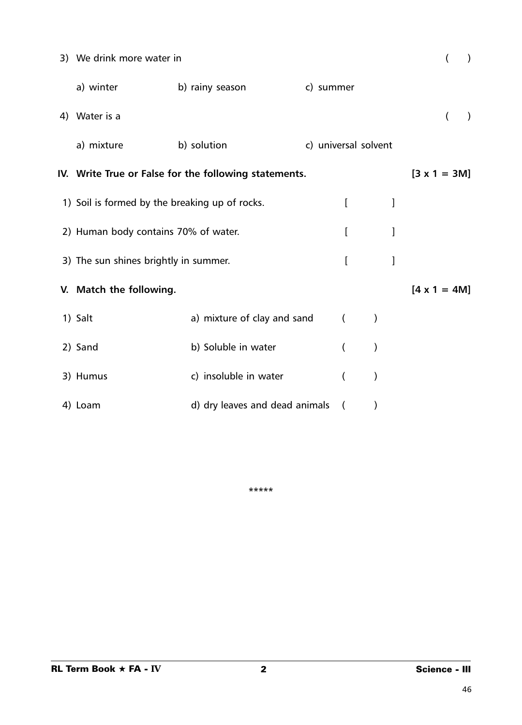| 3) We drink more water in                      |                                                       |                      |          |               |              |                     |                |           |
|------------------------------------------------|-------------------------------------------------------|----------------------|----------|---------------|--------------|---------------------|----------------|-----------|
| a) winter                                      | b) rainy season                                       | c) summer            |          |               |              |                     |                |           |
| 4) Water is a                                  |                                                       |                      |          |               |              |                     | $\overline{(}$ | $\lambda$ |
| a) mixture                                     | b) solution                                           | c) universal solvent |          |               |              |                     |                |           |
|                                                | IV. Write True or False for the following statements. |                      |          |               |              | $[3 \times 1 = 3M]$ |                |           |
| 1) Soil is formed by the breaking up of rocks. |                                                       |                      | I        |               | 1            |                     |                |           |
| 2) Human body contains 70% of water.           |                                                       |                      | I        |               | ]            |                     |                |           |
| 3) The sun shines brightly in summer.          |                                                       |                      | I        |               | $\mathbf{l}$ |                     |                |           |
| V. Match the following.                        |                                                       |                      |          |               |              | $[4 \times 1 = 4M]$ |                |           |
| 1) Salt                                        | a) mixture of clay and sand                           |                      | $\left($ | $\mathcal{C}$ |              |                     |                |           |
| 2) Sand                                        | b) Soluble in water                                   |                      | $\left($ | $\mathcal{C}$ |              |                     |                |           |
| 3) Humus                                       | c) insoluble in water                                 |                      | $\left($ | $\mathcal{E}$ |              |                     |                |           |
| 4) Loam                                        | d) dry leaves and dead animals                        |                      | $\left($ | $\mathcal{E}$ |              |                     |                |           |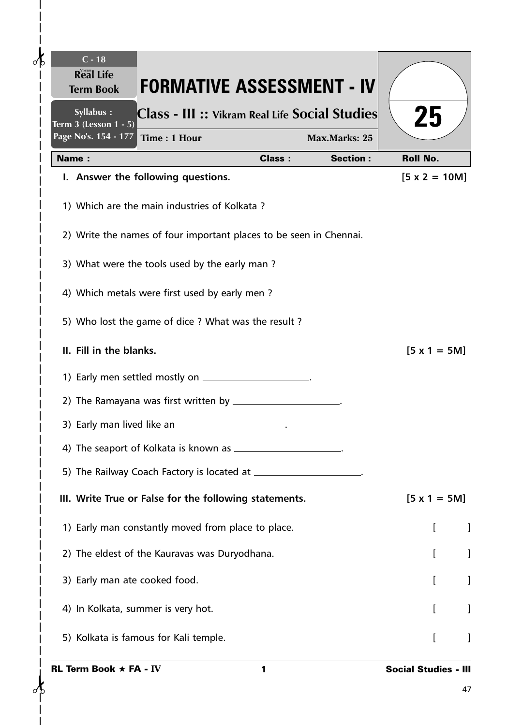| Syllabus :<br>Class - III :: Vikram Real Life Social Studies       |               |                 | 25                   |
|--------------------------------------------------------------------|---------------|-----------------|----------------------|
| Term 3 (Lesson 1 - 5)<br>Page No's. 154 - 177<br>Time: 1 Hour      |               | Max.Marks: 25   |                      |
| Name:                                                              | <b>Class:</b> | <b>Section:</b> | <b>Roll No.</b>      |
| I. Answer the following questions.                                 |               |                 | $[5 \times 2 = 10M]$ |
| 1) Which are the main industries of Kolkata?                       |               |                 |                      |
| 2) Write the names of four important places to be seen in Chennai. |               |                 |                      |
| 3) What were the tools used by the early man?                      |               |                 |                      |
| 4) Which metals were first used by early men?                      |               |                 |                      |
| 5) Who lost the game of dice ? What was the result ?               |               |                 |                      |
| II. Fill in the blanks.                                            |               |                 | $[5 \times 1 = 5M]$  |
|                                                                    |               |                 |                      |
|                                                                    |               |                 |                      |
| 3) Early man lived like an __________________________.             |               |                 |                      |
|                                                                    |               |                 |                      |
|                                                                    |               |                 |                      |
| III. Write True or False for the following statements.             |               |                 | $[5 \times 1 = 5M]$  |
| 1) Early man constantly moved from place to place.                 |               |                 |                      |
| 2) The eldest of the Kauravas was Duryodhana.                      |               |                 |                      |
| 3) Early man ate cooked food.                                      |               |                 |                      |
| 4) In Kolkata, summer is very hot.                                 |               |                 | L                    |
| 5) Kolkata is famous for Kali temple.                              |               |                 |                      |

 $\overline{1}$  $\overline{\phantom{a}}$ 

 $\mathbf{I}$  $\overline{\phantom{a}}$  $\frac{1}{1}$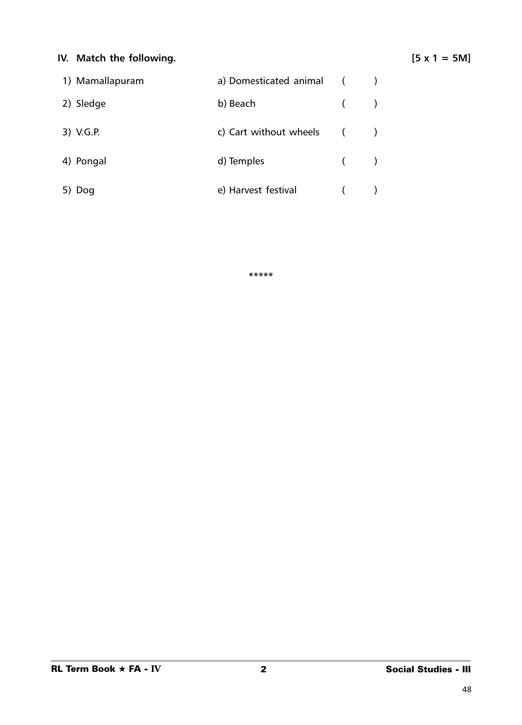## **IV.** Match the following.  $[5 \times 1 = 5M]$

| 1) Mamallapuram | a) Domesticated animal   |  |
|-----------------|--------------------------|--|
| 2) Sledge       | b) Beach                 |  |
| 3) V.G.P.       | c) Cart without wheels ( |  |
| 4) Pongal       | d) Temples               |  |
| 5) Dog          | e) Harvest festival      |  |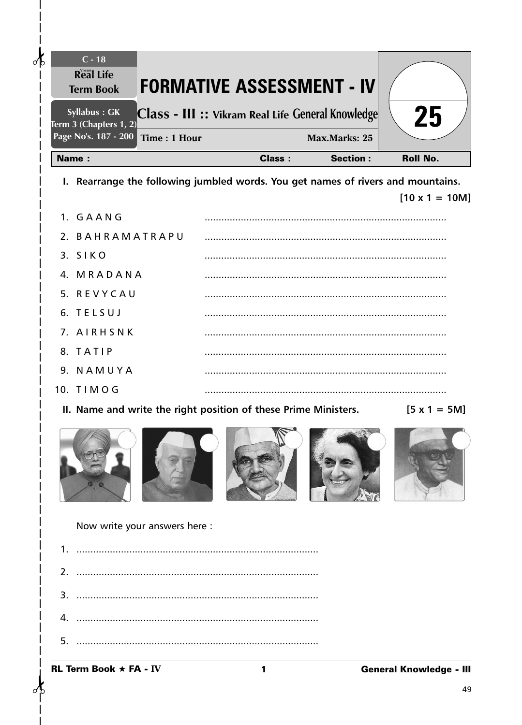| Term $3$ (Chapters $1, 2$ )                                                         | Class - III :: Vikram Real Life General Knowledge |                      | 25                    |
|-------------------------------------------------------------------------------------|---------------------------------------------------|----------------------|-----------------------|
| Page No's. 187 - 200<br>Time: 1 Hour                                                |                                                   | <b>Max.Marks: 25</b> |                       |
| <b>Name:</b>                                                                        | <b>Class:</b>                                     | <b>Section:</b>      | <b>Roll No.</b>       |
| I. Rearrange the following jumbled words. You get names of rivers and mountains.    |                                                   |                      | $[10 \times 1 = 10M]$ |
| 1. GAANG                                                                            |                                                   |                      |                       |
| 2. BAHRAMATRAPU                                                                     |                                                   |                      |                       |
| 3. SIKO                                                                             |                                                   |                      |                       |
| 4. MRADANA                                                                          |                                                   |                      |                       |
| 5. REVYCAU                                                                          |                                                   |                      |                       |
| 6. TELSUJ                                                                           |                                                   |                      |                       |
| 7. AIRHSNK                                                                          |                                                   |                      |                       |
| 8. TATIP                                                                            |                                                   |                      |                       |
| 9. NAMUYA                                                                           |                                                   |                      |                       |
| 10. TIMOG                                                                           |                                                   |                      |                       |
| II. Name and write the right position of these Prime Ministers. $[5 \times 1 = 5M]$ |                                                   |                      |                       |
|                                                                                     |                                                   |                      |                       |
| Now write your answers here :                                                       |                                                   |                      |                       |
|                                                                                     |                                                   |                      |                       |
| 2.                                                                                  |                                                   |                      |                       |
| 3.                                                                                  |                                                   |                      |                       |
| 4.                                                                                  |                                                   |                      |                       |
|                                                                                     |                                                   |                      |                       |

Term Book  $\star$  FA - IV

 $\partial$ 

 $\mathsf{l}$  $\overline{\phantom{a}}$  $\mathbf{I}$  $\overline{\phantom{a}}$ 

 $\sigma$